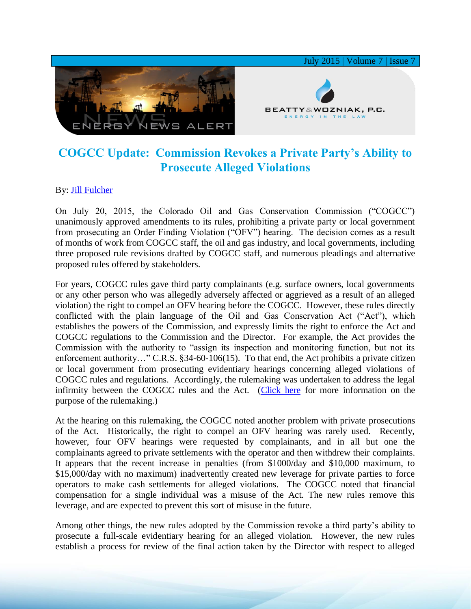

## **COGCC Update: Commission Revokes a Private Party's Ability to Prosecute Alleged Violations**

## By: [Jill Fulcher](http://www.bwenergylaw.com/#!jill-fulcher/cf4t)

On July 20, 2015, the Colorado Oil and Gas Conservation Commission ("COGCC") unanimously approved amendments to its rules, prohibiting a private party or local government from prosecuting an Order Finding Violation ("OFV") hearing. The decision comes as a result of months of work from COGCC staff, the oil and gas industry, and local governments, including three proposed rule revisions drafted by COGCC staff, and numerous pleadings and alternative proposed rules offered by stakeholders.

For years, COGCC rules gave third party complainants (e.g. surface owners, local governments or any other person who was allegedly adversely affected or aggrieved as a result of an alleged violation) the right to compel an OFV hearing before the COGCC. However, these rules directly conflicted with the plain language of the Oil and Gas Conservation Act ("Act"), which establishes the powers of the Commission, and expressly limits the right to enforce the Act and COGCC regulations to the Commission and the Director. For example, the Act provides the Commission with the authority to "assign its inspection and monitoring function, but not its enforcement authority..." C.R.S. §34-60-106(15). To that end, the Act prohibits a private citizen or local government from prosecuting evidentiary hearings concerning alleged violations of COGCC rules and regulations. Accordingly, the rulemaking was undertaken to address the legal infirmity between the COGCC rules and the Act. [\(Click here](http://media.wix.com/ugd/2f2374_a49c0bac736e4cc885b901a5fdd63748.pdf) for more information on the purpose of the rulemaking.)

At the hearing on this rulemaking, the COGCC noted another problem with private prosecutions of the Act. Historically, the right to compel an OFV hearing was rarely used. Recently, however, four OFV hearings were requested by complainants, and in all but one the complainants agreed to private settlements with the operator and then withdrew their complaints. It appears that the recent increase in penalties (from \$1000/day and \$10,000 maximum, to \$15,000/day with no maximum) inadvertently created new leverage for private parties to force operators to make cash settlements for alleged violations. The COGCC noted that financial compensation for a single individual was a misuse of the Act. The new rules remove this leverage, and are expected to prevent this sort of misuse in the future.

Among other things, the new rules adopted by the Commission revoke a third party's ability to prosecute a full-scale evidentiary hearing for an alleged violation. However, the new rules establish a process for review of the final action taken by the Director with respect to alleged